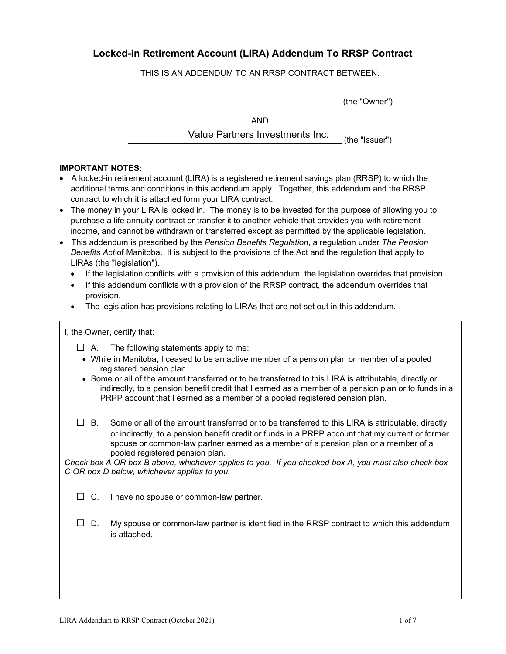## **Locked-in Retirement Account (LIRA) Addendum To RRSP Contract**

THIS IS AN ADDENDUM TO AN RRSP CONTRACT BETWEEN:

|            | (the "Owner") |
|------------|---------------|
| <b>AND</b> |               |

Value Partners Investments Inc.

## (the "Issuer")

## **IMPORTANT NOTES:**

- A locked-in retirement account (LIRA) is a registered retirement savings plan (RRSP) to which the additional terms and conditions in this addendum apply. Together, this addendum and the RRSP contract to which it is attached form your LIRA contract.
- The money in your LIRA is locked in. The money is to be invested for the purpose of allowing you to purchase a life annuity contract or transfer it to another vehicle that provides you with retirement income, and cannot be withdrawn or transferred except as permitted by the applicable legislation.
- This addendum is prescribed by the *Pension Benefits Regulation*, a regulation under *The Pension Benefits Act* of Manitoba. It is subject to the provisions of the Act and the regulation that apply to LIRAs (the "legislation").
	- If the legislation conflicts with a provision of this addendum, the legislation overrides that provision.
	- If this addendum conflicts with a provision of the RRSP contract, the addendum overrides that provision.
	- The legislation has provisions relating to LIRAs that are not set out in this addendum.

I, the Owner, certify that:

- $\Box$  A. The following statements apply to me:
	- While in Manitoba, I ceased to be an active member of a pension plan or member of a pooled registered pension plan.
- Some or all of the amount transferred or to be transferred to this LIRA is attributable, directly or indirectly, to a pension benefit credit that I earned as a member of a pension plan or to funds in a PRPP account that I earned as a member of a pooled registered pension plan.
- $\Box$  B. Some or all of the amount transferred or to be transferred to this LIRA is attributable, directly or indirectly, to a pension benefit credit or funds in a PRPP account that my current or former spouse or common-law partner earned as a member of a pension plan or a member of a pooled registered pension plan.

*Check box A OR box B above, whichever applies to you. If you checked box A, you must also check box C OR box D below, whichever applies to you*.

 $\square$  C. I have no spouse or common-law partner.

 $\Box$  D. My spouse or common-law partner is identified in the RRSP contract to which this addendum is attached.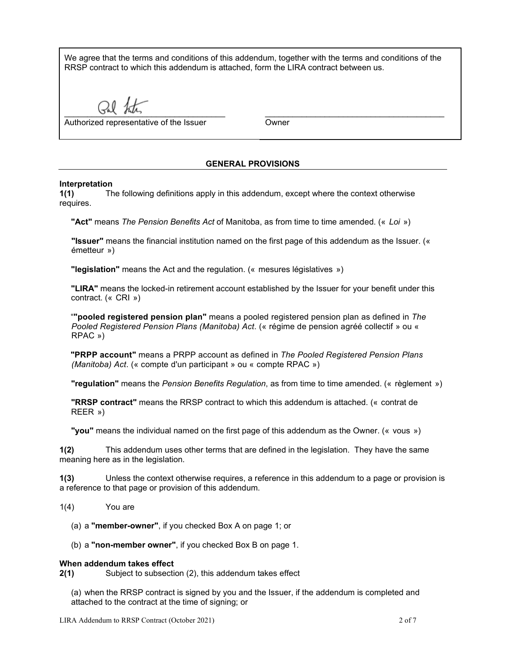We agree that the terms and conditions of this addendum, together with the terms and conditions of the RRSP contract to which this addendum is attached, form the LIRA contract between us.

 $U_{\text{A}}$   $U_{\text{A}}$ 

Authorized representative of the Issuer

**Owner** 

\_\_\_\_\_\_\_\_\_\_\_\_\_\_\_\_\_\_\_\_\_\_\_\_\_\_\_\_\_\_\_\_\_\_\_\_\_\_\_

## **GENERAL PROVISIONS**

## **Interpretation**

**1(1)** The following definitions apply in this addendum, except where the context otherwise requires.

**"Act"** means *The Pension Benefits Act* of Manitoba, as from time to time amended. (« *Loi* »)

**"Issuer"** means the financial institution named on the first page of this addendum as the Issuer. (« émetteur »)

**"legislation"** means the Act and the regulation. (« mesures législatives »)

**"LIRA"** means the locked-in retirement account established by the Issuer for your benefit under this contract. (« CRI »)

"**"pooled registered pension plan"** means a pooled registered pension plan as defined in *The Pooled Registered Pension Plans (Manitoba) Act*. (« régime de pension agréé collectif » ou « RPAC »)

**"PRPP account"** means a PRPP account as defined in *The Pooled Registered Pension Plans (Manitoba) Act*. (« compte d'un participant » ou « compte RPAC »)

**"regulation"** means the *Pension Benefits Regulation*, as from time to time amended. (« règlement »)

**"RRSP contract"** means the RRSP contract to which this addendum is attached. (« contrat de REER »)

**"you"** means the individual named on the first page of this addendum as the Owner. (« vous »)

**1(2)** This addendum uses other terms that are defined in the legislation. They have the same meaning here as in the legislation.

**1(3)** Unless the context otherwise requires, a reference in this addendum to a page or provision is a reference to that page or provision of this addendum.

- 1(4) You are
	- (a) a **"member-owner"**, if you checked Box A on page 1; or
	- (b) a **"non-member owner"**, if you checked Box B on page 1.

#### **When addendum takes effect**

**2(1)** Subject to subsection (2), this addendum takes effect

(a) when the RRSP contract is signed by you and the Issuer, if the addendum is completed and attached to the contract at the time of signing; or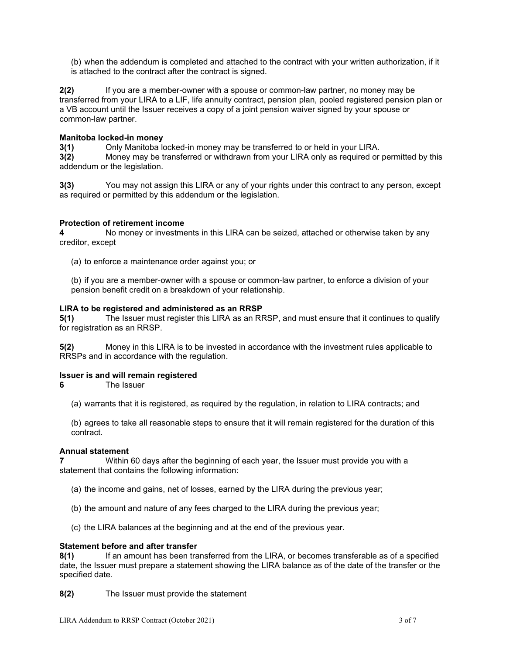(b) when the addendum is completed and attached to the contract with your written authorization, if it is attached to the contract after the contract is signed.

**2(2)** If you are a member-owner with a spouse or common-law partner, no money may be transferred from your LIRA to a LIF, life annuity contract, pension plan, pooled registered pension plan or a VB account until the Issuer receives a copy of a joint pension waiver signed by your spouse or common-law partner.

#### **Manitoba locked-in money**

**3(1)** Only Manitoba locked-in money may be transferred to or held in your LIRA. **3(2)** Money may be transferred or withdrawn from your LIRA only as required or permitted by this addendum or the legislation.

**3(3)** You may not assign this LIRA or any of your rights under this contract to any person, except as required or permitted by this addendum or the legislation.

### **Protection of retirement income**

**4** No money or investments in this LIRA can be seized, attached or otherwise taken by any creditor, except

(a) to enforce a maintenance order against you; or

(b) if you are a member-owner with a spouse or common-law partner, to enforce a division of your pension benefit credit on a breakdown of your relationship.

#### **LIRA to be registered and administered as an RRSP**

**5(1)** The Issuer must register this LIRA as an RRSP, and must ensure that it continues to qualify for registration as an RRSP.

**5(2)** Money in this LIRA is to be invested in accordance with the investment rules applicable to RRSPs and in accordance with the regulation.

#### **Issuer is and will remain registered**

**6** The Issuer

(a) warrants that it is registered, as required by the regulation, in relation to LIRA contracts; and

(b) agrees to take all reasonable steps to ensure that it will remain registered for the duration of this contract.

#### **Annual statement**

**7** Within 60 days after the beginning of each year, the Issuer must provide you with a statement that contains the following information:

- (a) the income and gains, net of losses, earned by the LIRA during the previous year;
- (b) the amount and nature of any fees charged to the LIRA during the previous year;
- (c) the LIRA balances at the beginning and at the end of the previous year.

# **Statement before and after transfer**<br>**8(1)** If an amount has been tra

**8(1)** If an amount has been transferred from the LIRA, or becomes transferable as of a specified date, the Issuer must prepare a statement showing the LIRA balance as of the date of the transfer or the specified date.

**8(2)** The Issuer must provide the statement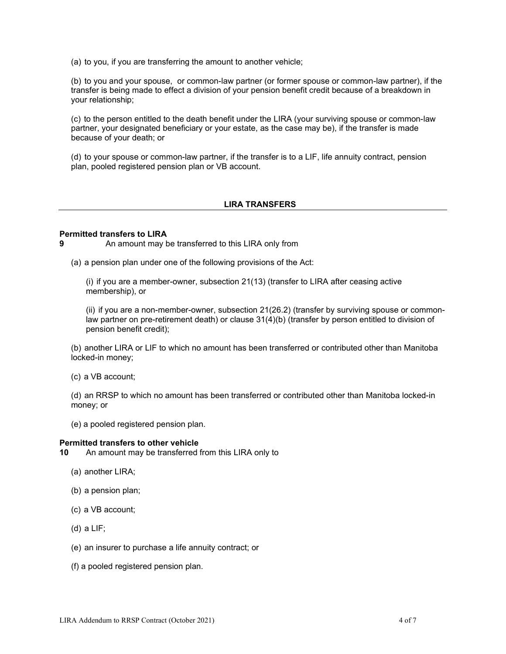(a) to you, if you are transferring the amount to another vehicle;

(b) to you and your spouse, or common-law partner (or former spouse or common-law partner), if the transfer is being made to effect a division of your pension benefit credit because of a breakdown in your relationship;

(c) to the person entitled to the death benefit under the LIRA (your surviving spouse or common-law partner, your designated beneficiary or your estate, as the case may be), if the transfer is made because of your death; or

(d) to your spouse or common-law partner, if the transfer is to a LIF, life annuity contract, pension plan, pooled registered pension plan or VB account.

## **LIRA TRANSFERS**

### **Permitted transfers to LIRA**

**9** An amount may be transferred to this LIRA only from

(a) a pension plan under one of the following provisions of the Act:

(i) if you are a member-owner, subsection 21(13) (transfer to LIRA after ceasing active membership), or

(ii) if you are a non-member-owner, subsection 21(26.2) (transfer by surviving spouse or commonlaw partner on pre-retirement death) or clause 31(4)(b) (transfer by person entitled to division of pension benefit credit);

(b) another LIRA or LIF to which no amount has been transferred or contributed other than Manitoba locked-in money;

(c) a VB account;

(d) an RRSP to which no amount has been transferred or contributed other than Manitoba locked-in money; or

(e) a pooled registered pension plan.

#### **Permitted transfers to other vehicle**

**10** An amount may be transferred from this LIRA only to

- (a) another LIRA;
- (b) a pension plan;
- (c) a VB account;
- (d) a LIF;
- (e) an insurer to purchase a life annuity contract; or
- (f) a pooled registered pension plan.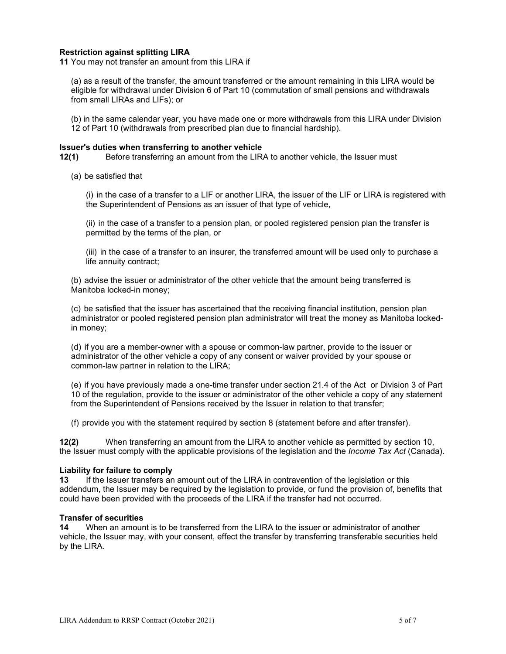### **Restriction against splitting LIRA**

**11** You may not transfer an amount from this LIRA if

(a) as a result of the transfer, the amount transferred or the amount remaining in this LIRA would be eligible for withdrawal under Division 6 of Part 10 (commutation of small pensions and withdrawals from small LIRAs and LIFs); or

(b) in the same calendar year, you have made one or more withdrawals from this LIRA under Division 12 of Part 10 (withdrawals from prescribed plan due to financial hardship).

#### **Issuer's duties when transferring to another vehicle**

**12(1)** Before transferring an amount from the LIRA to another vehicle, the Issuer must

(a) be satisfied that

(i) in the case of a transfer to a LIF or another LIRA, the issuer of the LIF or LIRA is registered with the Superintendent of Pensions as an issuer of that type of vehicle,

(ii) in the case of a transfer to a pension plan, or pooled registered pension plan the transfer is permitted by the terms of the plan, or

(iii) in the case of a transfer to an insurer, the transferred amount will be used only to purchase a life annuity contract;

(b) advise the issuer or administrator of the other vehicle that the amount being transferred is Manitoba locked-in money;

(c) be satisfied that the issuer has ascertained that the receiving financial institution, pension plan administrator or pooled registered pension plan administrator will treat the money as Manitoba lockedin money;

(d) if you are a member-owner with a spouse or common-law partner, provide to the issuer or administrator of the other vehicle a copy of any consent or waiver provided by your spouse or common-law partner in relation to the LIRA;

(e) if you have previously made a one-time transfer under section 21.4 of the Act or Division 3 of Part 10 of the regulation, provide to the issuer or administrator of the other vehicle a copy of any statement from the Superintendent of Pensions received by the Issuer in relation to that transfer;

(f) provide you with the statement required by section 8 (statement before and after transfer).

**12(2)** When transferring an amount from the LIRA to another vehicle as permitted by section 10, the Issuer must comply with the applicable provisions of the legislation and the *Income Tax Act* (Canada).

### **Liability for failure to comply**

**13** If the Issuer transfers an amount out of the LIRA in contravention of the legislation or this addendum, the Issuer may be required by the legislation to provide, or fund the provision of, benefits that could have been provided with the proceeds of the LIRA if the transfer had not occurred.

#### **Transfer of securities**

**14** When an amount is to be transferred from the LIRA to the issuer or administrator of another vehicle, the Issuer may, with your consent, effect the transfer by transferring transferable securities held by the LIRA.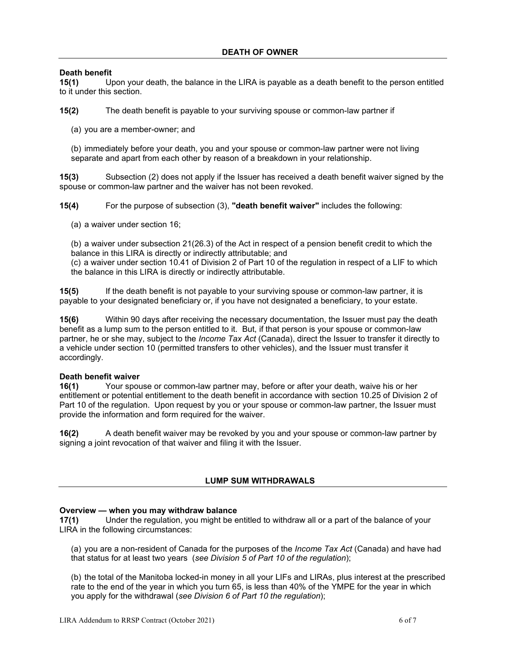# **Death benefit**<br>15(1) Up

**15(1)** Upon your death, the balance in the LIRA is payable as a death benefit to the person entitled to it under this section.

**15(2)** The death benefit is payable to your surviving spouse or common-law partner if

(a) you are a member-owner; and

(b) immediately before your death, you and your spouse or common-law partner were not living separate and apart from each other by reason of a breakdown in your relationship.

**15(3)** Subsection (2) does not apply if the Issuer has received a death benefit waiver signed by the spouse or common-law partner and the waiver has not been revoked.

**15(4)** For the purpose of subsection (3), **"death benefit waiver"** includes the following:

(a) a waiver under section 16;

(b) a waiver under subsection 21(26.3) of the Act in respect of a pension benefit credit to which the balance in this LIRA is directly or indirectly attributable; and

(c) a waiver under section 10.41 of Division 2 of Part 10 of the regulation in respect of a LIF to which the balance in this LIRA is directly or indirectly attributable.

**15(5)** If the death benefit is not payable to your surviving spouse or common-law partner, it is payable to your designated beneficiary or, if you have not designated a beneficiary, to your estate.

**15(6)** Within 90 days after receiving the necessary documentation, the Issuer must pay the death benefit as a lump sum to the person entitled to it. But, if that person is your spouse or common-law partner, he or she may, subject to the *Income Tax Act* (Canada), direct the Issuer to transfer it directly to a vehicle under section 10 (permitted transfers to other vehicles), and the Issuer must transfer it accordingly.

### **Death benefit waiver**

**16(1)** Your spouse or common-law partner may, before or after your death, waive his or her entitlement or potential entitlement to the death benefit in accordance with section 10.25 of Division 2 of Part 10 of the regulation. Upon request by you or your spouse or common-law partner, the Issuer must provide the information and form required for the waiver.

**16(2)** A death benefit waiver may be revoked by you and your spouse or common-law partner by signing a joint revocation of that waiver and filing it with the Issuer.

## **LUMP SUM WITHDRAWALS**

### **Overview — when you may withdraw balance**

**17(1)** Under the regulation, you might be entitled to withdraw all or a part of the balance of your LIRA in the following circumstances:

(a) you are a non-resident of Canada for the purposes of the *Income Tax Act* (Canada) and have had that status for at least two years (*see Division 5 of Part 10 of the regulation*);

(b) the total of the Manitoba locked-in money in all your LIFs and LIRAs, plus interest at the prescribed rate to the end of the year in which you turn 65, is less than 40% of the YMPE for the year in which you apply for the withdrawal (*see Division 6 of Part 10 the regulation*);